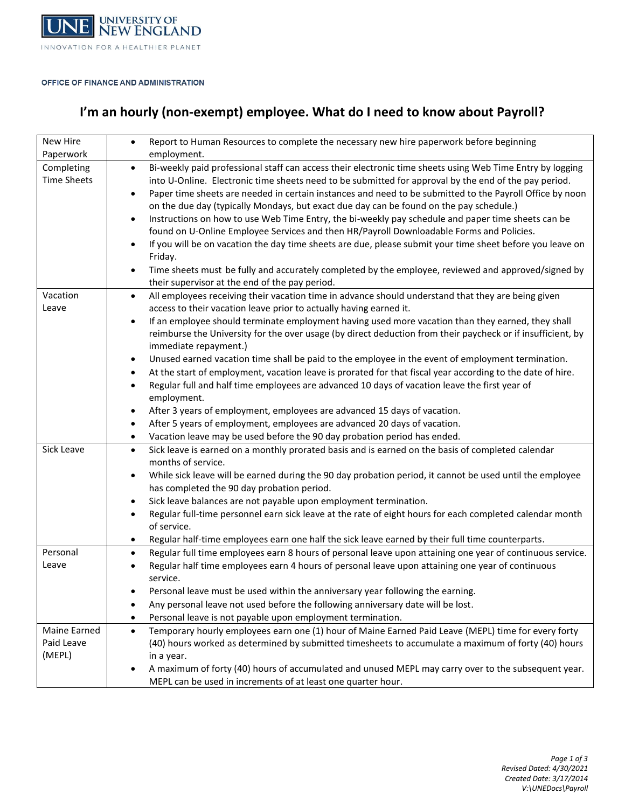

### OFFICE OF FINANCE AND ADMINISTRATION

# **I'm an hourly (non-exempt) employee. What do I need to know about Payroll?**

| New Hire<br>Paperwork                | Report to Human Resources to complete the necessary new hire paperwork before beginning<br>$\bullet$<br>employment.                                                                                                                                                                                                                                                                                                                                                                                                                                                                                                                                                                                                                                                                                                                                                                                                       |
|--------------------------------------|---------------------------------------------------------------------------------------------------------------------------------------------------------------------------------------------------------------------------------------------------------------------------------------------------------------------------------------------------------------------------------------------------------------------------------------------------------------------------------------------------------------------------------------------------------------------------------------------------------------------------------------------------------------------------------------------------------------------------------------------------------------------------------------------------------------------------------------------------------------------------------------------------------------------------|
| Completing<br><b>Time Sheets</b>     | Bi-weekly paid professional staff can access their electronic time sheets using Web Time Entry by logging<br>$\bullet$<br>into U-Online. Electronic time sheets need to be submitted for approval by the end of the pay period.<br>Paper time sheets are needed in certain instances and need to be submitted to the Payroll Office by noon<br>on the due day (typically Mondays, but exact due day can be found on the pay schedule.)<br>Instructions on how to use Web Time Entry, the bi-weekly pay schedule and paper time sheets can be<br>found on U-Online Employee Services and then HR/Payroll Downloadable Forms and Policies.<br>If you will be on vacation the day time sheets are due, please submit your time sheet before you leave on<br>Friday.<br>Time sheets must be fully and accurately completed by the employee, reviewed and approved/signed by<br>their supervisor at the end of the pay period. |
| Vacation<br>Leave                    | All employees receiving their vacation time in advance should understand that they are being given<br>$\bullet$<br>access to their vacation leave prior to actually having earned it.<br>If an employee should terminate employment having used more vacation than they earned, they shall<br>reimburse the University for the over usage (by direct deduction from their paycheck or if insufficient, by<br>immediate repayment.)                                                                                                                                                                                                                                                                                                                                                                                                                                                                                        |
|                                      | Unused earned vacation time shall be paid to the employee in the event of employment termination.<br>$\bullet$<br>At the start of employment, vacation leave is prorated for that fiscal year according to the date of hire.<br>$\bullet$<br>Regular full and half time employees are advanced 10 days of vacation leave the first year of<br>$\bullet$<br>employment.<br>After 3 years of employment, employees are advanced 15 days of vacation.<br>$\bullet$<br>After 5 years of employment, employees are advanced 20 days of vacation.<br>$\bullet$<br>Vacation leave may be used before the 90 day probation period has ended.<br>$\bullet$                                                                                                                                                                                                                                                                         |
| Sick Leave                           | Sick leave is earned on a monthly prorated basis and is earned on the basis of completed calendar<br>$\bullet$<br>months of service.<br>While sick leave will be earned during the 90 day probation period, it cannot be used until the employee<br>has completed the 90 day probation period.<br>Sick leave balances are not payable upon employment termination.<br>$\bullet$<br>Regular full-time personnel earn sick leave at the rate of eight hours for each completed calendar month<br>٠<br>of service.<br>Regular half-time employees earn one half the sick leave earned by their full time counterparts.<br>$\bullet$                                                                                                                                                                                                                                                                                          |
| Personal<br>Leave                    | Regular full time employees earn 8 hours of personal leave upon attaining one year of continuous service.<br>$\bullet$<br>Regular half time employees earn 4 hours of personal leave upon attaining one year of continuous<br>service.<br>Personal leave must be used within the anniversary year following the earning.<br>Any personal leave not used before the following anniversary date will be lost.<br>$\bullet$<br>Personal leave is not payable upon employment termination.<br>$\bullet$                                                                                                                                                                                                                                                                                                                                                                                                                       |
| Maine Earned<br>Paid Leave<br>(MEPL) | Temporary hourly employees earn one (1) hour of Maine Earned Paid Leave (MEPL) time for every forty<br>$\bullet$<br>(40) hours worked as determined by submitted timesheets to accumulate a maximum of forty (40) hours<br>in a year.<br>A maximum of forty (40) hours of accumulated and unused MEPL may carry over to the subsequent year.<br>MEPL can be used in increments of at least one quarter hour.                                                                                                                                                                                                                                                                                                                                                                                                                                                                                                              |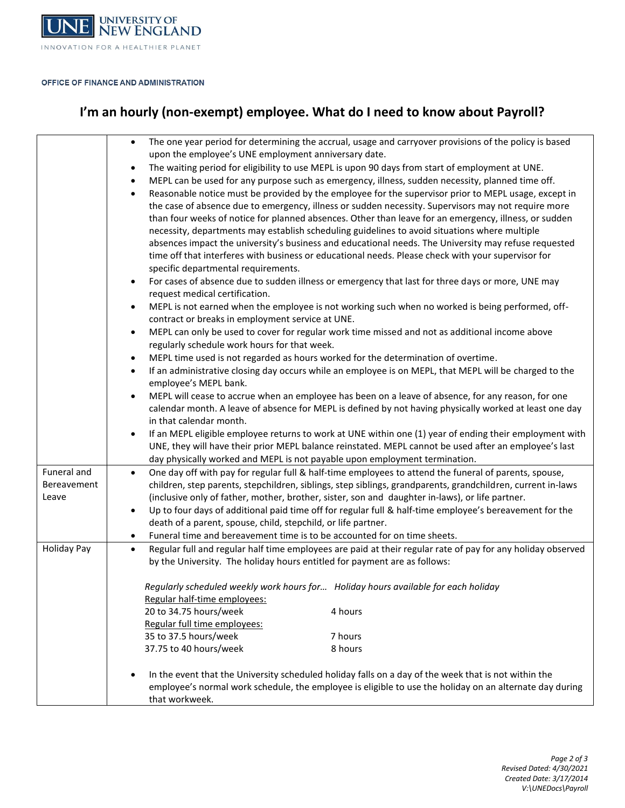

### OFFICE OF FINANCE AND ADMINISTRATION

# **I'm an hourly (non-exempt) employee. What do I need to know about Payroll?**

|                    | The one year period for determining the accrual, usage and carryover provisions of the policy is based<br>$\bullet$      |
|--------------------|--------------------------------------------------------------------------------------------------------------------------|
|                    | upon the employee's UNE employment anniversary date.                                                                     |
|                    | The waiting period for eligibility to use MEPL is upon 90 days from start of employment at UNE.<br>$\bullet$             |
|                    | MEPL can be used for any purpose such as emergency, illness, sudden necessity, planned time off.<br>$\bullet$            |
|                    | Reasonable notice must be provided by the employee for the supervisor prior to MEPL usage, except in<br>$\bullet$        |
|                    | the case of absence due to emergency, illness or sudden necessity. Supervisors may not require more                      |
|                    | than four weeks of notice for planned absences. Other than leave for an emergency, illness, or sudden                    |
|                    | necessity, departments may establish scheduling guidelines to avoid situations where multiple                            |
|                    | absences impact the university's business and educational needs. The University may refuse requested                     |
|                    | time off that interferes with business or educational needs. Please check with your supervisor for                       |
|                    | specific departmental requirements.                                                                                      |
|                    | For cases of absence due to sudden illness or emergency that last for three days or more, UNE may<br>$\bullet$           |
|                    | request medical certification.                                                                                           |
|                    | MEPL is not earned when the employee is not working such when no worked is being performed, off-<br>$\bullet$            |
|                    | contract or breaks in employment service at UNE.                                                                         |
|                    | MEPL can only be used to cover for regular work time missed and not as additional income above<br>$\bullet$              |
|                    | regularly schedule work hours for that week.                                                                             |
|                    | MEPL time used is not regarded as hours worked for the determination of overtime.<br>$\bullet$                           |
|                    | If an administrative closing day occurs while an employee is on MEPL, that MEPL will be charged to the<br>$\bullet$      |
|                    | employee's MEPL bank.                                                                                                    |
|                    | MEPL will cease to accrue when an employee has been on a leave of absence, for any reason, for one<br>$\bullet$          |
|                    | calendar month. A leave of absence for MEPL is defined by not having physically worked at least one day                  |
|                    | in that calendar month.                                                                                                  |
|                    | If an MEPL eligible employee returns to work at UNE within one (1) year of ending their employment with<br>$\bullet$     |
|                    | UNE, they will have their prior MEPL balance reinstated. MEPL cannot be used after an employee's last                    |
|                    | day physically worked and MEPL is not payable upon employment termination.                                               |
| Funeral and        | One day off with pay for regular full & half-time employees to attend the funeral of parents, spouse,<br>$\bullet$       |
| Bereavement        | children, step parents, stepchildren, siblings, step siblings, grandparents, grandchildren, current in-laws              |
| Leave              | (inclusive only of father, mother, brother, sister, son and daughter in-laws), or life partner.                          |
|                    | Up to four days of additional paid time off for regular full & half-time employee's bereavement for the<br>$\bullet$     |
|                    | death of a parent, spouse, child, stepchild, or life partner.                                                            |
|                    | Funeral time and bereavement time is to be accounted for on time sheets.<br>$\bullet$                                    |
| <b>Holiday Pay</b> | Regular full and regular half time employees are paid at their regular rate of pay for any holiday observed<br>$\bullet$ |
|                    | by the University. The holiday hours entitled for payment are as follows:                                                |
|                    | Regularly scheduled weekly work hours for Holiday hours available for each holiday                                       |
|                    | Regular half-time employees:                                                                                             |
|                    | 20 to 34.75 hours/week<br>4 hours                                                                                        |
|                    | Regular full time employees:                                                                                             |
|                    | 35 to 37.5 hours/week<br>7 hours                                                                                         |
|                    | 37.75 to 40 hours/week<br>8 hours                                                                                        |
|                    |                                                                                                                          |
|                    | In the event that the University scheduled holiday falls on a day of the week that is not within the                     |
|                    | employee's normal work schedule, the employee is eligible to use the holiday on an alternate day during                  |
|                    | that workweek.                                                                                                           |